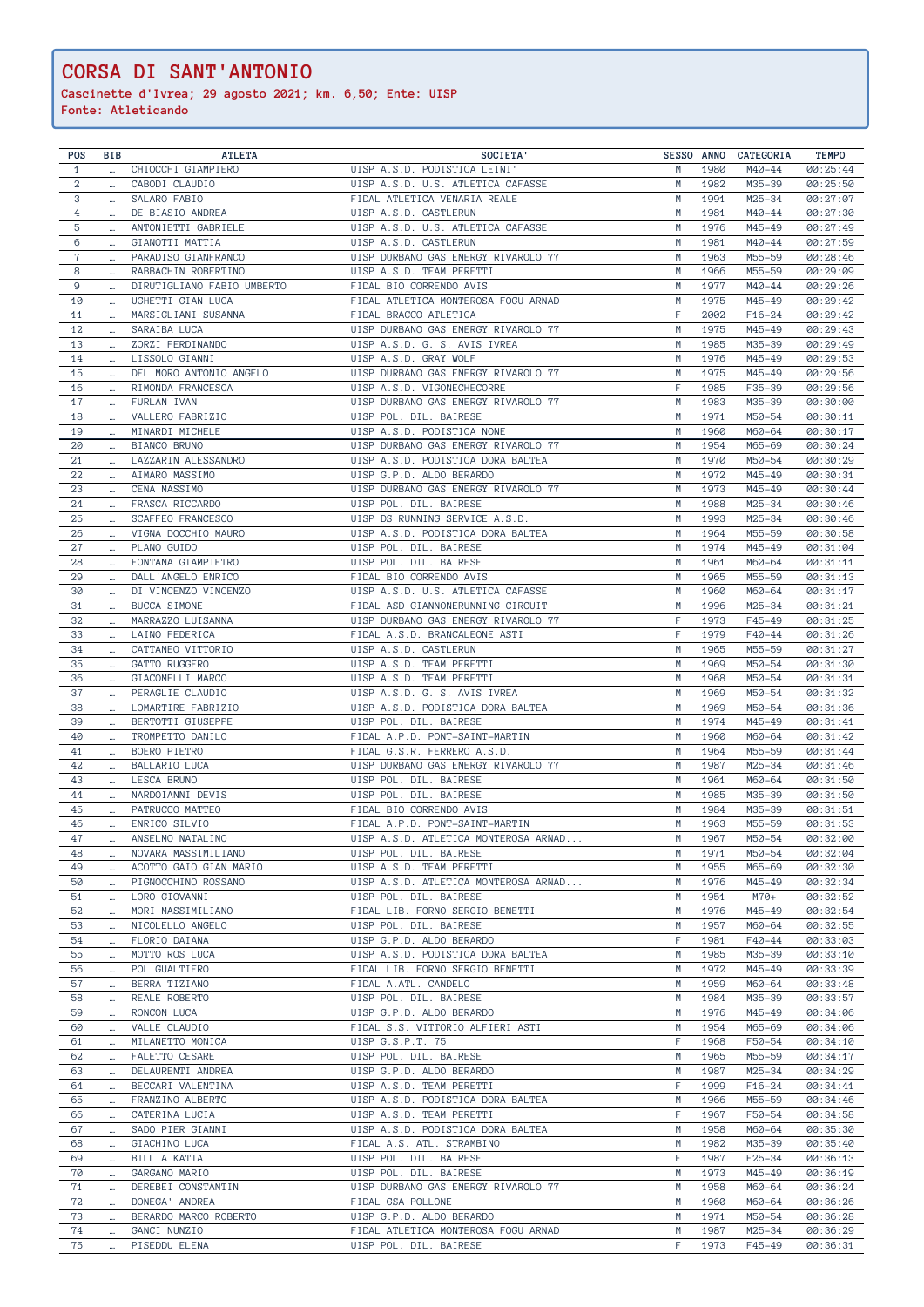| POS              | BIB                   | <b>ATLETA</b>              | SOCIETA'                             |   |      | SESSO ANNO CATEGORIA | <b>TEMPO</b> |
|------------------|-----------------------|----------------------------|--------------------------------------|---|------|----------------------|--------------|
| $\mathbf{1}$     | $\cdots$              | CHIOCCHI GIAMPIERO         | UISP A.S.D. PODISTICA LEINI'         | M | 1980 | M40-44               | 00:25:44     |
| $\boldsymbol{2}$ | $\cdots$              | CABODI CLAUDIO             | UISP A.S.D. U.S. ATLETICA CAFASSE    | M | 1982 | M35-39               | 00:25:50     |
| 3                |                       | SALARO FABIO               | FIDAL ATLETICA VENARIA REALE         | M | 1991 | M25-34               | 00:27:07     |
|                  | $\cdots$              |                            |                                      |   |      |                      |              |
| 4                |                       | DE BIASIO ANDREA           | UISP A.S.D. CASTLERUN                | М | 1981 | M40-44               | 00:27:30     |
| 5                | $\cdots$              | ANTONIETTI GABRIELE        | UISP A.S.D. U.S. ATLETICA CAFASSE    | М | 1976 | M45-49               | 00:27:49     |
| 6                | $\cdots$              | GIANOTTI MATTIA            | UISP A.S.D. CASTLERUN                | M | 1981 | M40-44               | 00:27:59     |
| 7                |                       | PARADISO GIANFRANCO        | UISP DURBANO GAS ENERGY RIVAROLO 77  | M | 1963 | M55-59               | 00:28:46     |
| 8                |                       | RABBACHIN ROBERTINO        | UISP A.S.D. TEAM PERETTI             | M | 1966 | M55-59               | 00:29:09     |
|                  | $\cdots$              |                            |                                      |   |      |                      |              |
| 9                | $\cdots$              | DIRUTIGLIANO FABIO UMBERTO | FIDAL BIO CORRENDO AVIS              | M | 1977 | M40-44               | 00:29:26     |
| 10               | $\cdots$              | UGHETTI GIAN LUCA          | FIDAL ATLETICA MONTEROSA FOGU ARNAD  | M | 1975 | M45-49               | 00:29:42     |
| 11               | $\cdots$              | MARSIGLIANI SUSANNA        | FIDAL BRACCO ATLETICA                | F | 2002 | $F16 - 24$           | 00:29:42     |
| 12               | $\cdots$              | SARAIBA LUCA               | UISP DURBANO GAS ENERGY RIVAROLO 77  | M | 1975 | M45-49               | 00:29:43     |
| 13               |                       | ZORZI FERDINANDO           | UISP A.S.D. G. S. AVIS IVREA         | М | 1985 | M35-39               | 00:29:49     |
|                  |                       |                            |                                      |   |      |                      |              |
| 14               | $\ddotsc$             | LISSOLO GIANNI             | UISP A.S.D. GRAY WOLF                | M | 1976 | M45-49               | 00:29:53     |
| 15               |                       | DEL MORO ANTONIO ANGELO    | UISP DURBANO GAS ENERGY RIVAROLO 77  | M | 1975 | M45-49               | 00:29:56     |
| 16               | $\cdots$              | RIMONDA FRANCESCA          | UISP A.S.D. VIGONECHECORRE           | F | 1985 | F35-39               | 00:29:56     |
| 17               | $\ldots$              | FURLAN IVAN                | UISP DURBANO GAS ENERGY RIVAROLO 77  | M | 1983 | M35-39               | 00:30:00     |
| 18               |                       | VALLERO FABRIZIO           | UISP POL. DIL. BAIRESE               | M | 1971 | M50-54               | 00:30:11     |
|                  | $\ldots$              |                            |                                      |   |      |                      |              |
| 19               | $\cdots$              | MINARDI MICHELE            | UISP A.S.D. PODISTICA NONE           | M | 1960 | M60-64               | 00:30:17     |
| 20               | $\cdots$              | BIANCO BRUNO               | UISP DURBANO GAS ENERGY RIVAROLO 77  | M | 1954 | M65-69               | 00:30:24     |
| 21               | $\cdots$              | LAZZARIN ALESSANDRO        | UISP A.S.D. PODISTICA DORA BALTEA    | M | 1970 | M50-54               | 00:30:29     |
| 22               | $\cdots$              | AIMARO MASSIMO             | UISP G.P.D. ALDO BERARDO             | M | 1972 | M45-49               | 00:30:31     |
| 23               | $\cdots$              | CENA MASSIMO               | UISP DURBANO GAS ENERGY RIVAROLO 77  | M | 1973 | M45-49               | 00:30:44     |
|                  |                       | FRASCA RICCARDO            | UISP POL. DIL. BAIRESE               | M | 1988 |                      |              |
| 24               | $\cdots$              |                            |                                      |   |      | M25-34               | 00:30:46     |
| 25               | $\ldots$              | SCAFFEO FRANCESCO          | UISP DS RUNNING SERVICE A.S.D.       | M | 1993 | M25-34               | 00:30:46     |
| 26               | $\cdots$              | VIGNA DOCCHIO MAURO        | UISP A.S.D. PODISTICA DORA BALTEA    | M | 1964 | M55-59               | 00:30:58     |
| 27               | $\cdots$              | PLANO GUIDO                | UISP POL. DIL. BAIRESE               | M | 1974 | M45-49               | 00:31:04     |
| 28               | $\cdots$              | FONTANA GIAMPIETRO         | UISP POL. DIL. BAIRESE               | M | 1961 | M60-64               | 00:31:11     |
|                  |                       |                            |                                      |   |      |                      |              |
| 29               |                       | DALL'ANGELO ENRICO         | FIDAL BIO CORRENDO AVIS              | М | 1965 | M55-59               | 00:31:13     |
| 30               | $\cdots$              | DI VINCENZO VINCENZO       | UISP A.S.D. U.S. ATLETICA CAFASSE    | M | 1960 | M60-64               | 00:31:17     |
| 31               | $\cdots$              | <b>BUCCA SIMONE</b>        | FIDAL ASD GIANNONERUNNING CIRCUIT    | М | 1996 | M25-34               | 00:31:21     |
| 32               | $\cdots$              | MARRAZZO LUISANNA          | UISP DURBANO GAS ENERGY RIVAROLO 77  | F | 1973 | F45-49               | 00:31:25     |
| 33               |                       | LAINO FEDERICA             | FIDAL A.S.D. BRANCALEONE ASTI        | F | 1979 | F40-44               | 00:31:26     |
|                  | $\cdots$              |                            |                                      |   |      |                      |              |
| 34               | $\cdots$              | CATTANEO VITTORIO          | UISP A.S.D. CASTLERUN                | M | 1965 | M55-59               | 00:31:27     |
| 35               | $\cdots$              | GATTO RUGGERO              | UISP A.S.D. TEAM PERETTI             | M | 1969 | M50-54               | 00:31:30     |
| 36               | $\cdots$              | GIACOMELLI MARCO           | UISP A.S.D. TEAM PERETTI             | M | 1968 | M50-54               | 00:31:31     |
| 37               | $\cdots$              | PERAGLIE CLAUDIO           | UISP A.S.D. G. S. AVIS IVREA         | М | 1969 | M50-54               | 00:31:32     |
| 38               |                       | LOMARTIRE FABRIZIO         | UISP A.S.D. PODISTICA DORA BALTEA    | M | 1969 | M50-54               | 00:31:36     |
|                  |                       |                            |                                      |   |      |                      |              |
| 39               | $\cdots$              | BERTOTTI GIUSEPPE          | UISP POL. DIL. BAIRESE               | M | 1974 | M45-49               | 00:31:41     |
| 40               |                       | TROMPETTO DANILO           | FIDAL A.P.D. PONT-SAINT-MARTIN       | М | 1960 | M60-64               | 00:31:42     |
| 41               | $\cdots$              | BOERO PIETRO               | FIDAL G.S.R. FERRERO A.S.D.          | М | 1964 | M55-59               | 00:31:44     |
| 42               | $\cdots$              | BALLARIO LUCA              | UISP DURBANO GAS ENERGY RIVAROLO 77  | M | 1987 | M25-34               | 00:31:46     |
| 43               |                       | LESCA BRUNO                | UISP POL. DIL. BAIRESE               | M | 1961 | M60-64               | 00:31:50     |
|                  | $\cdots$              |                            |                                      |   |      |                      |              |
| 44               | $\cdots$              | NARDOIANNI DEVIS           | UISP POL. DIL. BAIRESE               | M | 1985 | M35-39               | 00:31:50     |
| 45               |                       | PATRUCCO MATTEO            | FIDAL BIO CORRENDO AVIS              | M | 1984 | M35-39               | 00:31:51     |
| 46               | $\mathbf{m}^{\prime}$ | ENRICO SILVIO              | FIDAL A.P.D. PONT-SAINT-MARTIN       | M | 1963 | M55-59               | 00:31:53     |
| 47               |                       | ANSELMO NATALINO           | UISP A.S.D. ATLETICA MONTEROSA ARNAD | M | 1967 | M50-54               | 00:32:00     |
| 48               |                       | NOVARA MASSIMILIANO        | UISP POL. DIL. BAIRESE               | M | 1971 | M50-54               | 00:32:04     |
|                  |                       |                            |                                      |   |      |                      |              |
| 49               |                       | ACOTTO GAIO GIAN MARIO     | UISP A.S.D. TEAM PERETTI             | M | 1955 | M65-69               | 00:32:30     |
| 50               | $\cdots$              | PIGNOCCHINO ROSSANO        | UISP A.S.D. ATLETICA MONTEROSA ARNAD | M | 1976 | M45-49               | 00:32:34     |
| 51               | $\sim$                | LORO GIOVANNI              | UISP POL. DIL. BAIRESE               | M | 1951 | M70+                 | 00:32:52     |
| 52               | $\cdots$              | MORI MASSIMILIANO          | FIDAL LIB. FORNO SERGIO BENETTI      | M | 1976 | M45-49               | 00:32:54     |
| 53               | $\cdots$              | NICOLELLO ANGELO           | UISP POL. DIL. BAIRESE               | М | 1957 | M60-64               | 00:32:55     |
| 54               |                       | FLORIO DAIANA              | UISP G.P.D. ALDO BERARDO             | F | 1981 | F40-44               | 00:33:03     |
|                  | $\cdots$              |                            |                                      |   |      |                      |              |
| 55               | $\cdots$              | MOTTO ROS LUCA             | UISP A.S.D. PODISTICA DORA BALTEA    | М | 1985 | M35-39               | 00:33:10     |
| 56               | $\cdots$              | POL GUALTIERO              | FIDAL LIB. FORNO SERGIO BENETTI      | M | 1972 | M45-49               | 00:33:39     |
| 57               | $\cdots$              | BERRA TIZIANO              | FIDAL A.ATL. CANDELO                 | M | 1959 | M60-64               | 00:33:48     |
| 58               | $\cdots$              | REALE ROBERTO              | UISP POL. DIL. BAIRESE               | М | 1984 | M35-39               | 00:33:57     |
| 59               |                       | RONCON LUCA                | UISP G.P.D. ALDO BERARDO             | M | 1976 | M45-49               |              |
|                  | $\cdots$              |                            |                                      |   |      |                      | 00:34:06     |
| 60               | $\cdots$              | VALLE CLAUDIO              | FIDAL S.S. VITTORIO ALFIERI ASTI     | M | 1954 | M65-69               | 00:34:06     |
| 61               | $\cdots$              | MILANETTO MONICA           | UISP G.S.P.T. 75                     | F | 1968 | F50-54               | 00:34:10     |
| 62               | $\sim$                | FALETTO CESARE             | UISP POL. DIL. BAIRESE               | М | 1965 | M55-59               | 00:34:17     |
| 63               | $\cdots$              | DELAURENTI ANDREA          | UISP G.P.D. ALDO BERARDO             | M | 1987 | M25-34               | 00:34:29     |
| 64               |                       | BECCARI VALENTINA          | UISP A.S.D. TEAM PERETTI             | F | 1999 | $F16 - 24$           | 00:34:41     |
|                  | $\cdots$              |                            |                                      |   |      |                      |              |
| 65               | $\cdots$              | FRANZINO ALBERTO           | UISP A.S.D. PODISTICA DORA BALTEA    | M | 1966 | M55-59               | 00:34:46     |
| 66               | $\cdots$              | CATERINA LUCIA             | UISP A.S.D. TEAM PERETTI             | F | 1967 | F50-54               | 00:34:58     |
| 67               | $\cdots$              | SADO PIER GIANNI           | UISP A.S.D. PODISTICA DORA BALTEA    | M | 1958 | M60-64               | 00:35:30     |
| 68               | $\cdots$              | GIACHINO LUCA              | FIDAL A.S. ATL. STRAMBINO            | M | 1982 | M35-39               | 00:35:40     |
| 69               | $\cdots$              | BILLIA KATIA               | UISP POL. DIL. BAIRESE               | F | 1987 | F25-34               | 00:36:13     |
|                  |                       |                            |                                      |   |      |                      |              |
| 70               | $\cdots$              | GARGANO MARIO              | UISP POL. DIL. BAIRESE               | M | 1973 | M45-49               | 00:36:19     |
| 71               | $\cdots$              | DEREBEI CONSTANTIN         | UISP DURBANO GAS ENERGY RIVAROLO 77  | М | 1958 | M60-64               | 00:36:24     |
| 72               | $\cdots$              | DONEGA' ANDREA             | FIDAL GSA POLLONE                    | M | 1960 | M60-64               | 00:36:26     |
| 73               | $\cdots$              | BERARDO MARCO ROBERTO      | UISP G.P.D. ALDO BERARDO             | M | 1971 | M50-54               | 00:36:28     |
| 74               | $\cdots$              | GANCI NUNZIO               | FIDAL ATLETICA MONTEROSA FOGU ARNAD  | M | 1987 | M25-34               | 00:36:29     |
| 75               |                       | PISEDDU ELENA              | UISP POL. DIL. BAIRESE               | F | 1973 | F45-49               | 00:36:31     |
|                  |                       |                            |                                      |   |      |                      |              |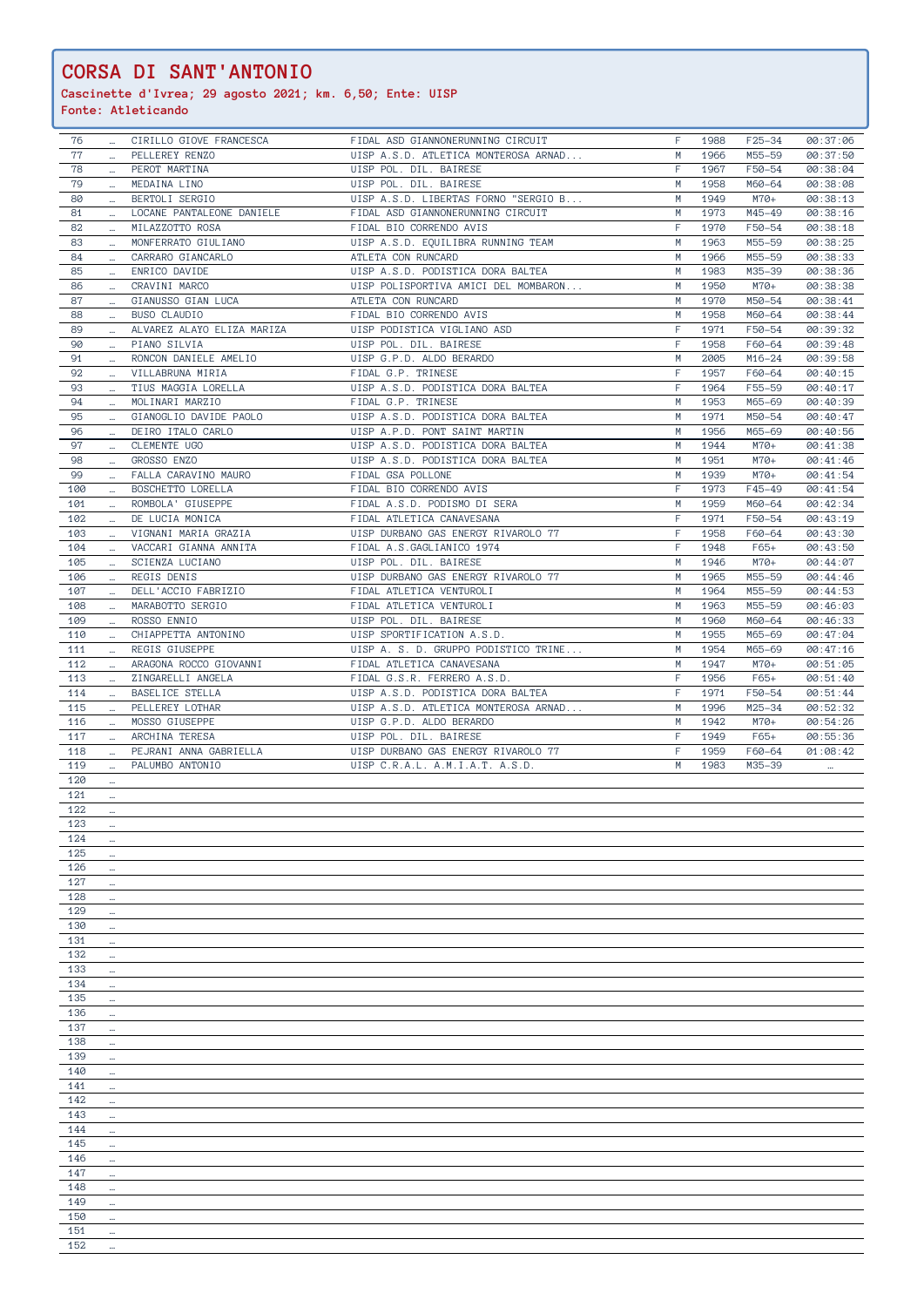… … … … … … …

| 76  |                          | CIRILLO GIOVE FRANCESCA    | FIDAL ASD GIANNONERUNNING CIRCUIT    | F | 1988 | F25-34     | 00:37:06 |
|-----|--------------------------|----------------------------|--------------------------------------|---|------|------------|----------|
| 77  |                          | PELLEREY RENZO             | UISP A.S.D. ATLETICA MONTEROSA ARNAD | M | 1966 | M55-59     | 00:37:50 |
|     |                          |                            |                                      |   |      |            |          |
| 78  | $\sim$ .                 | PEROT MARTINA              | UISP POL. DIL. BAIRESE               | F | 1967 | F50-54     | 00:38:04 |
| 79  |                          | MEDAINA LINO               | UISP POL. DIL. BAIRESE               | M | 1958 | M60-64     | 00:38:08 |
|     |                          |                            |                                      |   |      |            |          |
| 80  | $\cdots$                 | BERTOLI SERGIO             | UISP A.S.D. LIBERTAS FORNO "SERGIO B | M | 1949 | M70+       | 00:38:13 |
| 81  | $\cdots$                 | LOCANE PANTALEONE DANIELE  | FIDAL ASD GIANNONERUNNING CIRCUIT    | M | 1973 | M45-49     | 00:38:16 |
| 82  |                          | MILAZZOTTO ROSA            | FIDAL BIO CORRENDO AVIS              | F | 1970 | F50-54     | 00:38:18 |
|     | $\cdots$                 |                            |                                      |   |      |            |          |
| 83  | $\cdots$                 | MONFERRATO GIULIANO        | UISP A.S.D. EQUILIBRA RUNNING TEAM   | M | 1963 | M55-59     | 00:38:25 |
| 84  |                          | CARRARO GIANCARLO          | ATLETA CON RUNCARD                   | М | 1966 | M55-59     | 00:38:33 |
|     |                          |                            |                                      |   |      |            |          |
| 85  | $\cdots$                 | ENRICO DAVIDE              | UISP A.S.D. PODISTICA DORA BALTEA    | M | 1983 | M35-39     | 00:38:36 |
| 86  | $\cdots$                 | CRAVINI MARCO              | UISP POLISPORTIVA AMICI DEL MOMBARON | M | 1950 | M70+       | 00:38:38 |
| 87  |                          | GIANUSSO GIAN LUCA         | ATLETA CON RUNCARD                   | M | 1970 | M50-54     | 00:38:41 |
|     | $\cdots$                 |                            |                                      |   |      |            |          |
| 88  | $\sim$                   | BUSO CLAUDIO               | FIDAL BIO CORRENDO AVIS              | M | 1958 | M60-64     | 00:38:44 |
| 89  | $\cdots$                 | ALVAREZ ALAYO ELIZA MARIZA | UISP PODISTICA VIGLIANO ASD          | F | 1971 | F50-54     | 00:39:32 |
|     |                          |                            |                                      | F |      |            |          |
| 90  | $\sim$                   | PIANO SILVIA               | UISP POL. DIL. BAIRESE               |   | 1958 | F60-64     | 00:39:48 |
| 91  | $\cdots$                 | RONCON DANIELE AMELIO      | UISP G.P.D. ALDO BERARDO             | М | 2005 | $M16 - 24$ | 00:39:58 |
| 92  | $\cdots$                 | VILLABRUNA MIRIA           | FIDAL G.P. TRINESE                   | F | 1957 | F60-64     | 00:40:15 |
|     |                          |                            |                                      |   |      |            |          |
| 93  |                          | TIUS MAGGIA LORELLA        | UISP A.S.D. PODISTICA DORA BALTEA    | F | 1964 | F55-59     | 00:40:17 |
| 94  | $\cdots$                 | MOLINARI MARZIO            | FIDAL G.P. TRINESE                   | M | 1953 | M65-69     | 00:40:39 |
| 95  |                          | GIANOGLIO DAVIDE PAOLO     | UISP A.S.D. PODISTICA DORA BALTEA    | M | 1971 | M50-54     | 00:40:47 |
|     | $\cdots$                 |                            |                                      |   |      |            |          |
| 96  | $\cdots$                 | DEIRO ITALO CARLO          | UISP A.P.D. PONT SAINT MARTIN        | M | 1956 | M65-69     | 00:40:56 |
| 97  | $\cdots$                 | CLEMENTE UGO               | UISP A.S.D. PODISTICA DORA BALTEA    | M | 1944 | M70+       | 00:41:38 |
|     |                          |                            |                                      |   |      |            |          |
| 98  | $\cdots$                 | GROSSO ENZO                | UISP A.S.D. PODISTICA DORA BALTEA    | M | 1951 | M70+       | 00:41:46 |
| 99  | $\cdots$                 | FALLA CARAVINO MAURO       | FIDAL GSA POLLONE                    | M | 1939 | M70+       | 00:41:54 |
|     |                          |                            |                                      | F |      | F45-49     |          |
| 100 |                          | BOSCHETTO LORELLA          | FIDAL BIO CORRENDO AVIS              |   | 1973 |            | 00:41:54 |
| 101 | $\mathbf{m}$ .           | ROMBOLA' GIUSEPPE          | FIDAL A.S.D. PODISMO DI SERA         | М | 1959 | M60-64     | 00:42:34 |
| 102 |                          | DE LUCIA MONICA            | FIDAL ATLETICA CANAVESANA            | F | 1971 | F50-54     | 00:43:19 |
|     |                          |                            |                                      |   |      |            |          |
| 103 | $\cdots$                 | VIGNANI MARIA GRAZIA       | UISP DURBANO GAS ENERGY RIVAROLO 77  | F | 1958 | F60-64     | 00:43:30 |
| 104 |                          | VACCARI GIANNA ANNITA      | FIDAL A.S.GAGLIANICO 1974            | F | 1948 | $F65+$     | 00:43:50 |
|     |                          |                            |                                      |   |      |            |          |
| 105 | $\overline{\phantom{a}}$ | SCIENZA LUCIANO            | UISP POL. DIL. BAIRESE               | M | 1946 | M70+       | 00:44:07 |
| 106 | $\sim$ .                 | REGIS DENIS                | UISP DURBANO GAS ENERGY RIVAROLO 77  | M | 1965 | M55-59     | 00:44:46 |
| 107 |                          | DELL'ACCIO FABRIZIO        | FIDAL ATLETICA VENTUROLI             | M | 1964 | M55-59     | 00:44:53 |
|     | $\cdots$                 |                            |                                      |   |      |            |          |
| 108 | $\cdots$                 | MARABOTTO SERGIO           | FIDAL ATLETICA VENTUROLI             | M | 1963 | M55-59     | 00:46:03 |
| 109 |                          | ROSSO ENNIO                | UISP POL. DIL. BAIRESE               | М | 1960 | M60-64     | 00:46:33 |
|     |                          |                            |                                      |   |      |            |          |
| 110 | $\cdots$                 | CHIAPPETTA ANTONINO        | UISP SPORTIFICATION A.S.D.           | M | 1955 | M65-69     | 00:47:04 |
| 111 | $\cdots$                 | REGIS GIUSEPPE             | UISP A. S. D. GRUPPO PODISTICO TRINE | M | 1954 | M65-69     | 00:47:16 |
| 112 |                          | ARAGONA ROCCO GIOVANNI     | FIDAL ATLETICA CANAVESANA            | M | 1947 | M70+       | 00:51:05 |
|     |                          |                            |                                      |   |      |            |          |
| 113 | $\cdots$                 | ZINGARELLI ANGELA          | FIDAL G.S.R. FERRERO A.S.D.          | F | 1956 | $F65+$     | 00:51:40 |
| 114 | $\cdots$                 | BASELICE STELLA            | UISP A.S.D. PODISTICA DORA BALTEA    | F | 1971 | F50-54     | 00:51:44 |
|     |                          |                            |                                      |   |      |            |          |
| 115 | $\cdots$                 | PELLEREY LOTHAR            | UISP A.S.D. ATLETICA MONTEROSA ARNAD | M | 1996 | M25-34     | 00:52:32 |
| 116 |                          | MOSSO GIUSEPPE             | UISP G.P.D. ALDO BERARDO             | M | 1942 | M70+       | 00:54:26 |
| 117 |                          | ARCHINA TERESA             | UISP POL. DIL. BAIRESE               | F | 1949 | $F65+$     | 00:55:36 |
|     | $\sim$ .                 |                            |                                      |   |      |            |          |
| 118 |                          | PEJRANI ANNA GABRIELLA     | UISP DURBANO GAS ENERGY RIVAROLO 77  | F | 1959 | F60-64     | 01:08:42 |
| 119 | $\cdots$                 | PALUMBO ANTONIO            | UISP C.R.A.L. A.M.I.A.T. A.S.D.      | M | 1983 | M35-39     |          |
|     |                          |                            |                                      |   |      |            |          |
| 120 | $\ldots$                 |                            |                                      |   |      |            |          |
| 121 | $\cdots$                 |                            |                                      |   |      |            |          |
| 122 |                          |                            |                                      |   |      |            |          |
|     | $\cdots$                 |                            |                                      |   |      |            |          |
| 123 |                          |                            |                                      |   |      |            |          |
| 124 | $\ldots$                 |                            |                                      |   |      |            |          |
|     |                          |                            |                                      |   |      |            |          |
| 125 | $\cdots$                 |                            |                                      |   |      |            |          |
| 126 | $\cdots$                 |                            |                                      |   |      |            |          |
| 127 |                          |                            |                                      |   |      |            |          |
|     |                          |                            |                                      |   |      |            |          |
| 128 |                          |                            |                                      |   |      |            |          |
| 129 |                          |                            |                                      |   |      |            |          |
|     |                          |                            |                                      |   |      |            |          |
| 130 | $\cdots$                 |                            |                                      |   |      |            |          |
| 131 | $\ldots$                 |                            |                                      |   |      |            |          |
| 132 |                          |                            |                                      |   |      |            |          |
|     | $\ldots$                 |                            |                                      |   |      |            |          |
| 133 | $\cdots$                 |                            |                                      |   |      |            |          |
| 134 | $\cdots$                 |                            |                                      |   |      |            |          |
|     |                          |                            |                                      |   |      |            |          |
| 135 | $\cdots$                 |                            |                                      |   |      |            |          |
| 136 | $\ldots$                 |                            |                                      |   |      |            |          |
| 137 |                          |                            |                                      |   |      |            |          |
|     | $\cdots$                 |                            |                                      |   |      |            |          |
| 138 | $\cdots$                 |                            |                                      |   |      |            |          |
| 139 | $\cdots$                 |                            |                                      |   |      |            |          |
|     |                          |                            |                                      |   |      |            |          |
| 140 | $\cdots$                 |                            |                                      |   |      |            |          |
| 141 |                          |                            |                                      |   |      |            |          |
| 142 | $\cdots$                 |                            |                                      |   |      |            |          |
|     |                          |                            |                                      |   |      |            |          |
| 143 |                          |                            |                                      |   |      |            |          |
| 144 |                          |                            |                                      |   |      |            |          |
|     |                          |                            |                                      |   |      |            |          |
| 145 |                          |                            |                                      |   |      |            |          |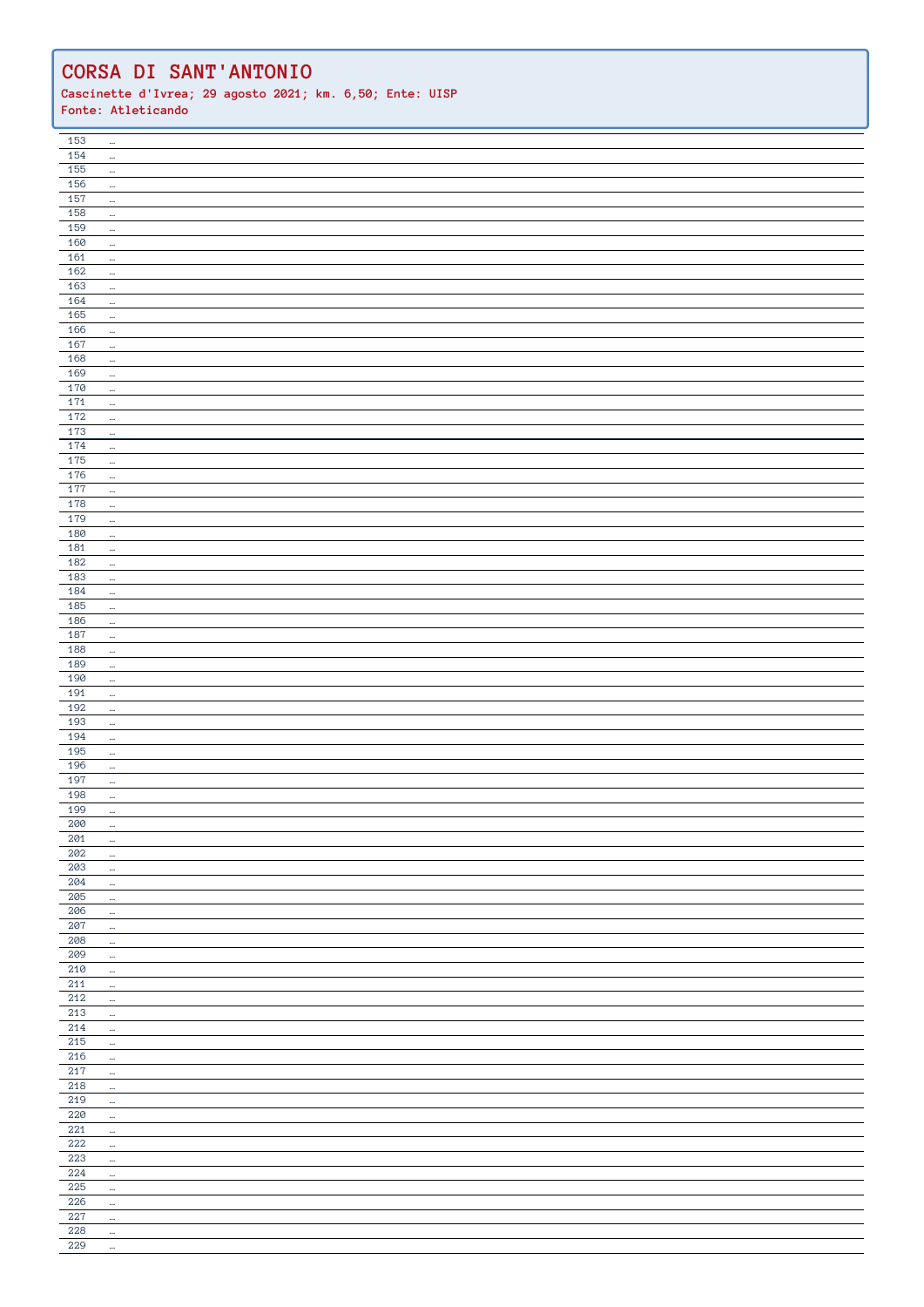| 153        | $\mathbb{H}^2$       |  |
|------------|----------------------|--|
| 154        | $\mathbb{Z}^2$       |  |
| 155        |                      |  |
|            | $\ldots$             |  |
| 156        | $\ldots$             |  |
| 157        | $\cdots$             |  |
| 158        | $\ldots$             |  |
| 159        |                      |  |
|            | $\ldots$             |  |
| 160        | $\ldots$             |  |
| 161        | $\omega$             |  |
| 162        | $\ldots$             |  |
| 163        |                      |  |
|            | $\ldots$             |  |
| 164        | $\ldots$             |  |
| 165        | $\mathbb{Z}^2$       |  |
| 166        | $\mathbb{Z}^2$       |  |
| 167        | $\ldots$             |  |
|            |                      |  |
| 168        | $\omega$             |  |
| 169        | $\ldots$             |  |
| 170        | $\mathbb{R}^2$       |  |
| $171$      | $\mathbb{H}^2$       |  |
| 172        |                      |  |
|            | $\mathbb{H}^2$       |  |
| 173        | $\mathbb{H}^2$       |  |
| 174        | $\ldots$             |  |
| 175        | $\mathbb{H}^2$       |  |
| 176        | $\cdots$             |  |
| 177        |                      |  |
|            | $\mathbb{H}^2$       |  |
| 178        | $\cdots$             |  |
| 179        | $\ldots$             |  |
| 180        | $\ldots$             |  |
| 181        |                      |  |
|            | $\ldots$             |  |
| 182        | $\cdots$             |  |
| 183        | $\ldots$             |  |
| 184        | $\ldots$             |  |
| 185        | $\ldots$             |  |
| 186        |                      |  |
|            | $\mathbb{H}^2$       |  |
| 187        | $\ldots$             |  |
| 188        | $\ldots$             |  |
| 189        | $\mathbb{H}^2$       |  |
| 190        |                      |  |
|            | $\mathbb{H}^2$       |  |
| 191        | $\omega$             |  |
| 192        | $\cdots$             |  |
| 193        | $\cdots$             |  |
| 194        | $\cdots$             |  |
| 195        | $\mathbb{Z}^2$       |  |
| 196        |                      |  |
|            | $\mathbb{H}^2$       |  |
| 197        | $\ldots$             |  |
| 198        | $\mathbb{H}^2$       |  |
| 199        | $\ldots$             |  |
| 200        | $\cdots$             |  |
| 201        |                      |  |
|            | $\cdots$             |  |
| 202        |                      |  |
| 203        | $\cdots$             |  |
|            | $\cdots$             |  |
| 204        | $\ldots$             |  |
|            |                      |  |
| 205        | $\cdots$             |  |
| 206        | $\ldots$             |  |
| 207        | $\ldots$             |  |
| 208        | $\ldots$             |  |
|            | $\ldots$             |  |
| 209        |                      |  |
| 210        | $\cdots$             |  |
| 211        | $\ldots$             |  |
| 212        | $\ldots$             |  |
| $213\,$    | $\cdots$             |  |
| 214        | $\cdots$             |  |
|            |                      |  |
| 215        | $\ldots$             |  |
| 216        | $\omega_{\rm c}$     |  |
| $217\,$    | $\cdots$             |  |
| 218        | $\ldots$             |  |
| 219        | $\ldots$             |  |
|            |                      |  |
| 220        | $\ldots$             |  |
| 221        | $\cdots$             |  |
| 222        | $\ldots$             |  |
| 223        | $\cdots$             |  |
| 224        | $\ldots$             |  |
| 225        | $\sim$               |  |
|            |                      |  |
| 226        | $\cdots$             |  |
| 227        | $\ldots$             |  |
| 228<br>229 | $\ldots$<br>$\ldots$ |  |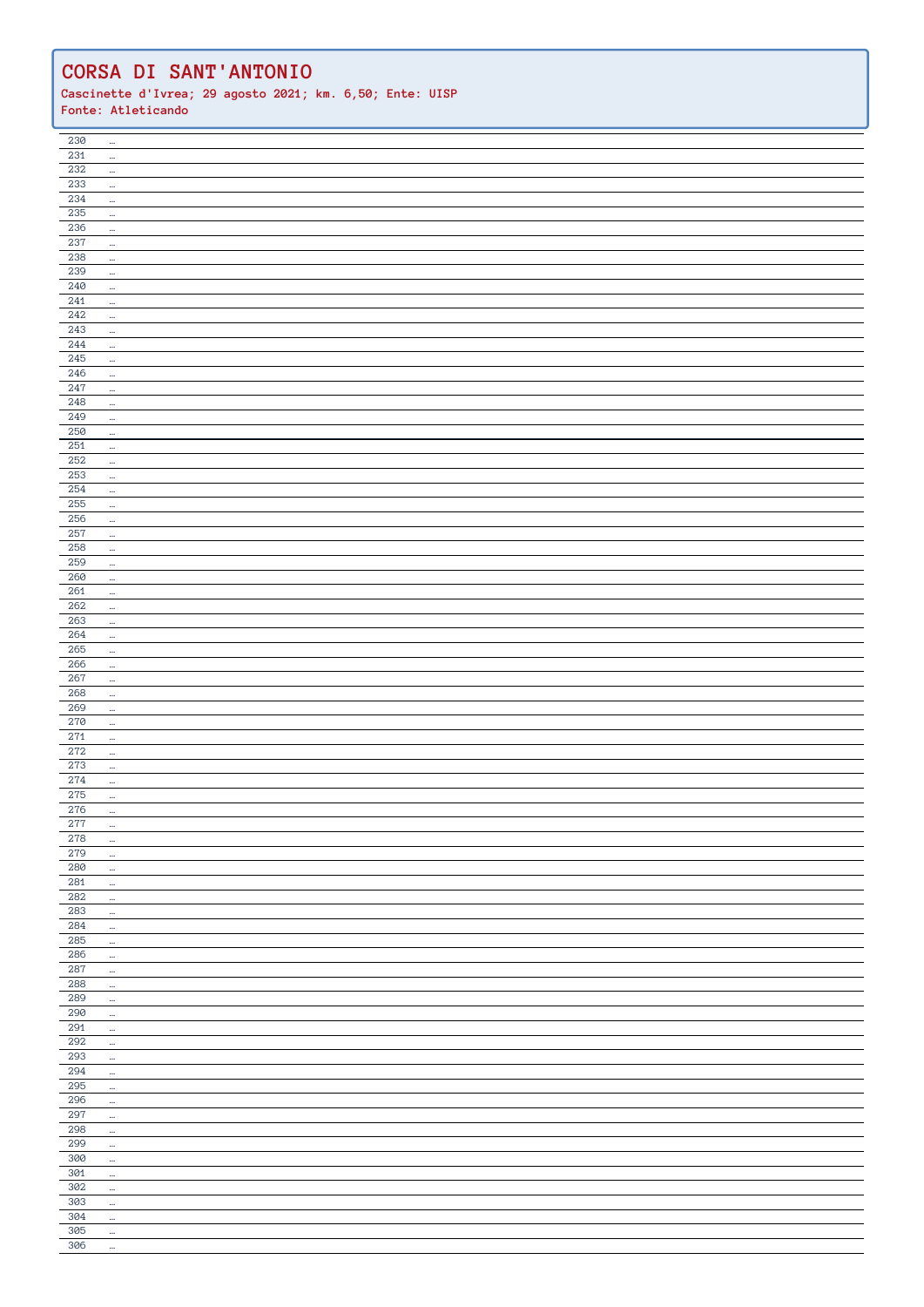| 230              | $\cdots$             |  |
|------------------|----------------------|--|
| $231\,$          | $\mathbb{Z}^2$       |  |
| 232              | $\cdots$             |  |
| 233              | $\ldots$             |  |
| 234              | $\cdots$             |  |
| 235              | $\ldots$             |  |
| 236              | $\cdots$             |  |
| 237              | $\ldots$             |  |
| 238              |                      |  |
| 239              | $\mathbb{H}^2$       |  |
| 240              | $\ldots$             |  |
|                  | $\ldots$             |  |
| 241<br>242       | $\cdots$             |  |
|                  | $\ldots$             |  |
| 243              | $\mathbb{H}^2$       |  |
| $\overline{244}$ | $\ldots$             |  |
| 245              | $\ldots$             |  |
| 246              | $\ldots$             |  |
| 247              | $\overline{a}$       |  |
| 248              | $\ldots$             |  |
| 249              | $\cdots$             |  |
| 250              | $\ldots$             |  |
| $251\,$          | $\ldots$             |  |
| $252\,$          | $\ldots$             |  |
| 253              | $\ldots$             |  |
| 254              | $\cdots$             |  |
| 255              | $\ldots$             |  |
| 256              | $\ldots$             |  |
| 257              | $\cdots$             |  |
| 258              | $\cdots$             |  |
| 259              | $\ldots$             |  |
| 260              | $\ldots$             |  |
| 261              | $\cdots$             |  |
| 262              | $\cdots$             |  |
| 263              | $\mathbb{H}^2$       |  |
| 264              | $\ldots$             |  |
| 265              | $\cdots$             |  |
| 266              |                      |  |
| 267              | $\ldots$             |  |
| 268              | $\ldots$<br>$\ldots$ |  |
|                  |                      |  |
|                  |                      |  |
| 269              | $\cdots$             |  |
| 270              | $\cdots$             |  |
| 271              | $\cdots$             |  |
| 272              | $\mathbb{Z}^2$       |  |
| 273              | $\cdots$             |  |
| 274              | $\ldots$             |  |
| 275              | $\cdots$             |  |
| 276              | $\ldots$             |  |
| 277              |                      |  |
| $278\,$          | $\cdots$             |  |
| 279              | $\cdots$             |  |
| 280              | $\cdots$             |  |
| 281              | $\ldots$             |  |
| 282              | $\cdots$             |  |
| 283              | $\ldots$             |  |
| 284              | $\ldots$             |  |
| 285              | $\cdots$             |  |
| 286              | $\cdots$             |  |
| 287              | $\cdots$             |  |
| 288              | $\cdots$             |  |
| 289              | $\ldots$             |  |
| 290              | $\cdots$             |  |
| 291              | $\cdots$             |  |
| 292              | $\ldots$             |  |
| 293              | $\ldots$             |  |
| $\, 294$         | $\cdots$             |  |
| 295              | $\cdots$             |  |
| 296              | $\cdots$             |  |
| 297              | $\cdots$             |  |
| 298              | $\cdots$             |  |
| 299              | $\cdots$             |  |
| 300              | $\ldots$             |  |
| 301              | $\cdots$             |  |
| 302              | $\cdots$             |  |
| 303              | $\cdots$             |  |
| 304              |                      |  |
|                  | $\ldots$             |  |
| 305<br>306       | $\ldots$<br>$\cdots$ |  |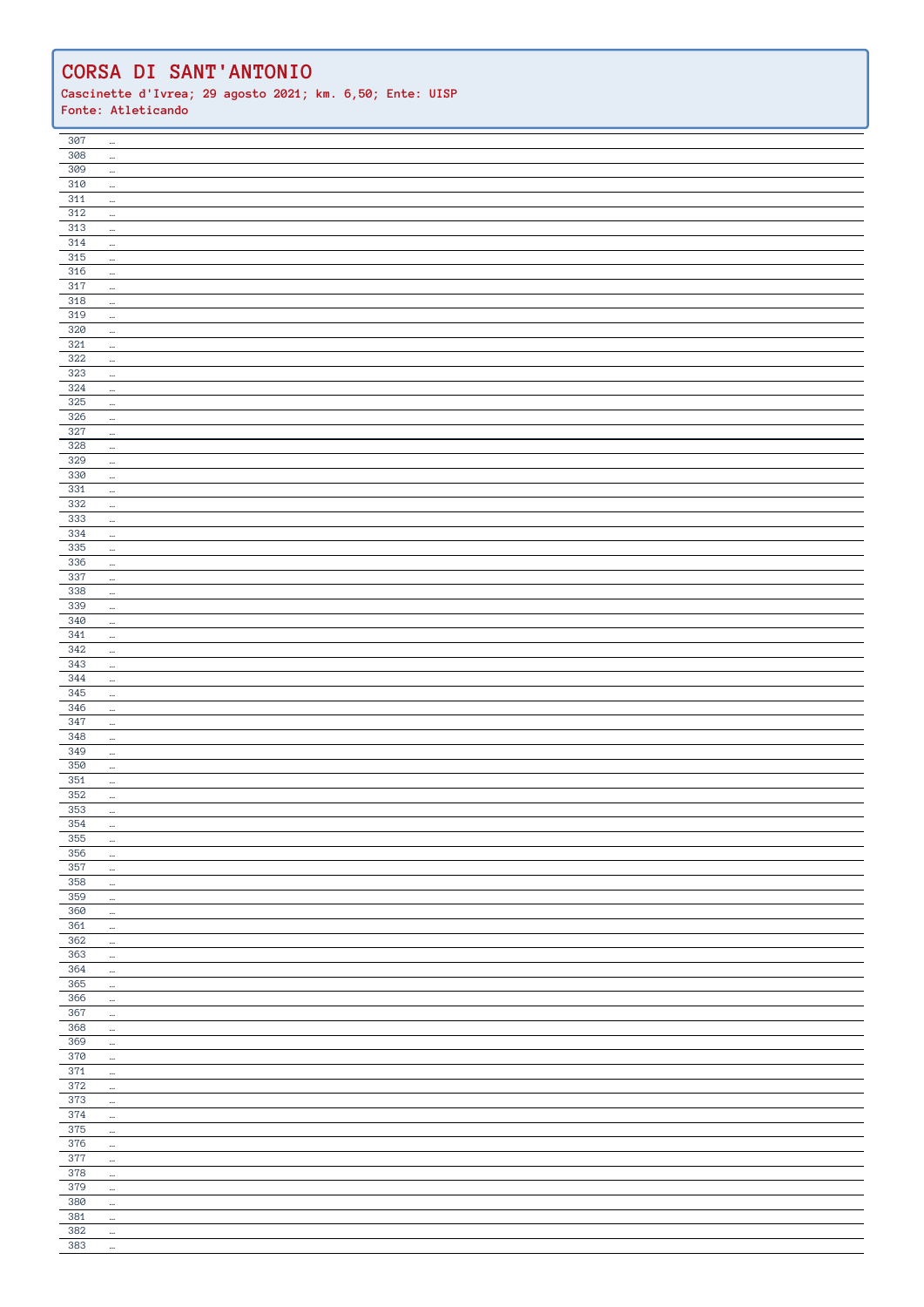| 307        | $\cdots$                   |  |
|------------|----------------------------|--|
| 308        | $\ldots$                   |  |
| 309        |                            |  |
|            | $\cdots$                   |  |
| 310        | $\ldots$                   |  |
| 311        | $\cdots$                   |  |
| 312        |                            |  |
|            | $\ldots$                   |  |
| 313        | $\cdots$                   |  |
| 314        |                            |  |
|            | $\ldots$                   |  |
| 315        | $\cdots$                   |  |
| 316        |                            |  |
|            | $\ldots$                   |  |
| 317        | $\cdots$                   |  |
| 318        | $\ldots$                   |  |
| 319        |                            |  |
|            | $\ldots$                   |  |
| 320        | $\cdots$                   |  |
| 321        |                            |  |
|            | $\cdots$                   |  |
| 322        | $\ldots$                   |  |
| 323        | $\ldots$                   |  |
|            |                            |  |
| 324        | $\cdots$                   |  |
| 325        | $\cdots$                   |  |
| 326        |                            |  |
|            | $\ldots$                   |  |
| 327        | $\ldots$                   |  |
| 328        | $\ldots$                   |  |
|            |                            |  |
| 329        | $\cdots$                   |  |
| 330        | $\ldots$                   |  |
| $331$      |                            |  |
|            | $\ldots$                   |  |
| 332        | $\cdots$                   |  |
| 333        |                            |  |
|            | $\cdots$                   |  |
| 334        | $\ldots$                   |  |
| 335        | $\mathbb{Z}^2$             |  |
| 336        |                            |  |
|            | $\cdots$                   |  |
| 337        | $\ldots$                   |  |
| 338        |                            |  |
|            | $\ldots$                   |  |
| 339        | $\ldots$                   |  |
| 340        |                            |  |
|            | $\cdots$                   |  |
| 341        | $\ldots$                   |  |
| 342        | $\mathbb{H}^2$             |  |
|            |                            |  |
| 343        | $\ldots$                   |  |
| 344        | $\ldots$                   |  |
| 345        |                            |  |
|            | $\ldots$                   |  |
|            |                            |  |
|            |                            |  |
| 346        | $\cdots$                   |  |
| 347        | $\ldots$                   |  |
| 348        | $\cdots$                   |  |
|            |                            |  |
| 349        | $\mathbb{Z}^2$             |  |
| 350        | $\ldots$                   |  |
|            |                            |  |
| 351        | $\ldots$                   |  |
| 352        | $\ldots$                   |  |
| 353        | $\ldots$                   |  |
|            |                            |  |
| 354        | $\cdots$                   |  |
| 355        | $\cdots$                   |  |
| 356        | $\cdots$                   |  |
|            |                            |  |
| 357        | $\cdots$                   |  |
| 358        | $\cdots$                   |  |
|            |                            |  |
| 359        | $\ldots$                   |  |
| 360        | $\ldots$                   |  |
| $361\,$    | $\cdots$                   |  |
|            |                            |  |
| 362        | $\cdots$                   |  |
| 363        | $\cdots$                   |  |
|            |                            |  |
| 364        | $\cdots$                   |  |
| $365\,$    | $\cdots$                   |  |
| 366        | $\cdots$                   |  |
|            |                            |  |
| 367        | $\cdots$                   |  |
| 368        | $\ldots$                   |  |
|            |                            |  |
| 369        | $\cdots$                   |  |
| 370        | $\cdots$                   |  |
| 371        | $\ldots$                   |  |
|            |                            |  |
| 372        | $\ldots$                   |  |
| 373        | $\cdots$                   |  |
|            |                            |  |
| 374        | $\cdots$                   |  |
| 375        | $\cdots$                   |  |
| 376        |                            |  |
|            | $\ldots$                   |  |
| 377        | $\cdots$                   |  |
| 378        | $\ldots$                   |  |
|            |                            |  |
| 379        | $\cdots$                   |  |
| 380        | $\cdots$                   |  |
|            |                            |  |
| 381        | $\cdots$                   |  |
| 382<br>383 | $\cdots$<br>$\mathbb{Z}^2$ |  |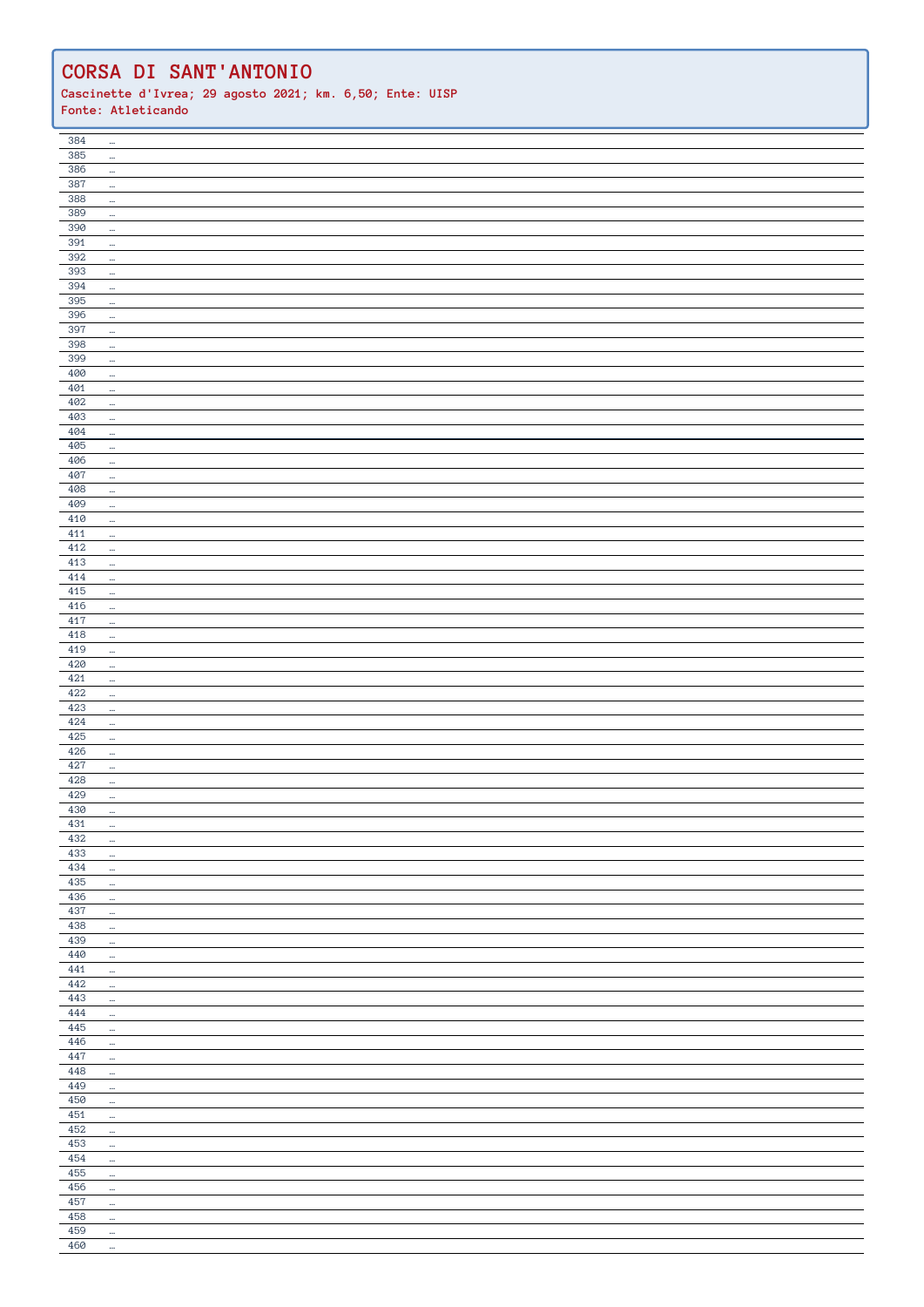| 384        | $\cdots$             |  |
|------------|----------------------|--|
|            |                      |  |
| 385        | $\ldots$             |  |
| 386        | $\cdots$             |  |
| 387        | $\cdots$             |  |
| 388        | $\cdots$             |  |
| 389        |                      |  |
|            | $\ldots$             |  |
| 390        | $\cdots$             |  |
| 391        | $\ldots$             |  |
| 392        | $\ddot{\phantom{1}}$ |  |
| 393        | $\ldots$             |  |
| 394        | $\cdots$             |  |
| 395        |                      |  |
| 396        | $\cdots$             |  |
|            | $\cdots$             |  |
| 397        | $\cdots$             |  |
| 398        | $\cdots$             |  |
| 399        | $\ldots$             |  |
| 400        | $\cdots$             |  |
| 401        | $\ldots$             |  |
| 402        | $\cdots$             |  |
| 403        |                      |  |
|            | $\ldots$             |  |
| 404        | $\cdots$             |  |
| 405        | $\ldots$             |  |
| 406        | $\cdots$             |  |
| 407        | $\cdots$             |  |
| 408        | $\ldots$             |  |
| 409        | $\cdots$             |  |
| 410        | $\ldots$             |  |
| 411        |                      |  |
| 412        | $\cdots$             |  |
|            | $\ldots$             |  |
| 413        | $\cdots$             |  |
| 414        | $\cdots$             |  |
| 415        | $\cdots$             |  |
| 416        | $\cdots$             |  |
| 417        | $\cdots$             |  |
| 418        | $\ldots$             |  |
| 419        | $\cdots$             |  |
| 420        |                      |  |
|            | $\ldots$             |  |
| 421        | $\cdots$             |  |
|            | $\cdots$             |  |
| 422        |                      |  |
| 423        | $\cdots$             |  |
| 424        | $\cdots$             |  |
|            |                      |  |
| 425        | $\cdots$             |  |
| 426        | $\ddot{\phantom{a}}$ |  |
| 427        | $\cdots$             |  |
| 428        | $\cdots$             |  |
| 429        | $\cdots$             |  |
| 430        | $\ldots$             |  |
| 431        | $\ldots$             |  |
| 432        | $\ldots$             |  |
| 433        | $\ldots$             |  |
| 434        | $\ldots$             |  |
|            |                      |  |
| $435\,$    | $\cdots$             |  |
| 436        | $\ldots$             |  |
| 437        | $\cdots$             |  |
| 438        | $\ldots$             |  |
| 439        | $\cdots$             |  |
| $440\,$    | $\cdots$             |  |
| 441        | $\ldots$             |  |
| 442        | $\ldots$             |  |
| 443        | $\ldots$             |  |
| 444        |                      |  |
|            | $\cdots$             |  |
| 445        | $\cdots$             |  |
| 446        | $\ldots$             |  |
| 447        | $\ldots$             |  |
| 448        | $\cdots$             |  |
| 449        | $\cdots$             |  |
| 450        | $\cdots$             |  |
| 451        | $\cdots$             |  |
| 452        | $\cdots$             |  |
| 453        |                      |  |
|            | $\cdots$             |  |
| $\rm 454$  | $\ldots$             |  |
| 455        | $\cdots$             |  |
| 456        | $\cdots$             |  |
| 457        | $\ldots$             |  |
| 458        | $\ldots$             |  |
| 459<br>460 | $\ldots$<br>$\cdots$ |  |